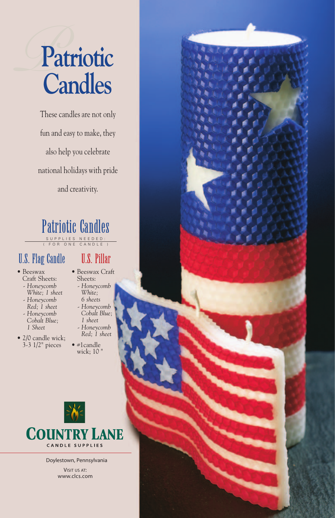# *P***Patriotic Candles**

These candles are not only fun and easy to make, they also help you celebrate national holidays with pride and creativity.



### U.S. Flag Candle

- Beeswax Craft Sheets:
	- *Honeycomb White; 1 sheet*
	- *Honeycomb Red; 1 sheet - Honeycomb*
	- *Cobalt Blue; 1 Sheet*
- 2/0 candle wick; 3-3 1/2" pieces

## U.S. Pillar

- Beeswax Craft Sheets:
	- *Honeycomb White; 6 sheets*
	- *Honeycomb*
	- *Cobalt Blue;*
	- *1 sheet*
	- *Honeycomb Red; 1 sheet*
- #1candle wick; 10 "



Doylestown, Pennsylvania VISIT US AT: www.clcs.com